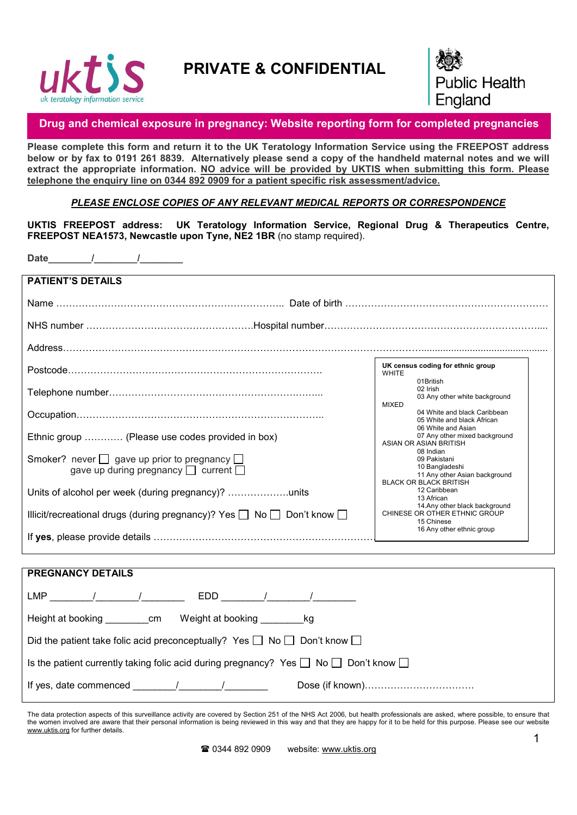

## PRIVATE & CONFIDENTIAL



## Drug and chemical exposure in pregnancy: Website reporting form for completed pregnancies

Please complete this form and return it to the UK Teratology Information Service using the FREEPOST address below or by fax to 0191 261 8839. Alternatively please send a copy of the handheld maternal notes and we will extract the appropriate information. NO advice will be provided by UKTIS when submitting this form. Please telephone the enquiry line on 0344 892 0909 for a patient specific risk assessment/advice.

*PLEASE ENCLOSE COPIES OF ANY RELEVANT MEDICAL REPORTS OR CORRESPONDENCE*

UKTIS FREEPOST address: UK Teratology Information Service, Regional Drug & Therapeutics Centre, FREEPOST NEA1573, Newcastle upon Tyne, NE2 1BR (no stamp required).

Date  $\qquad$  /

| <b>PATIENT'S DETAILS</b>                                                                                 |                                                                                                               |
|----------------------------------------------------------------------------------------------------------|---------------------------------------------------------------------------------------------------------------|
|                                                                                                          |                                                                                                               |
|                                                                                                          |                                                                                                               |
|                                                                                                          |                                                                                                               |
|                                                                                                          | UK census coding for ethnic group<br><b>WHITE</b><br>01British                                                |
|                                                                                                          | 02 Irish<br>03 Any other white background<br><b>MIXED</b>                                                     |
|                                                                                                          | 04 White and black Caribbean<br>05 White and black African                                                    |
| Ethnic group  (Please use codes provided in box)                                                         | 06 White and Asian<br>07 Any other mixed background<br>ASIAN OR ASIAN BRITISH                                 |
| Smoker? never $\Box$ gave up prior to pregnancy $\Box$<br>gave up during pregnancy $\Box$ current $\Box$ | 08 Indian<br>09 Pakistani<br>10 Bangladeshi<br>11 Any other Asian background<br><b>BLACK OR BLACK BRITISH</b> |
| Units of alcohol per week (during pregnancy)?                                                            | 12 Caribbean<br>13 African<br>14.Any other black background                                                   |
| Illicit/recreational drugs (during pregnancy)? Yes $\Box$ No $\Box$ Don't know $\Box$                    | CHINESE OR OTHER ETHNIC GROUP<br>15 Chinese                                                                   |
|                                                                                                          | 16 Any other ethnic group                                                                                     |
| <b>PREGNANCY DETAILS</b>                                                                                 |                                                                                                               |
|                                                                                                          |                                                                                                               |
|                                                                                                          |                                                                                                               |
| Height at booking _______________ cm Weight at booking _________<br>kg                                   |                                                                                                               |
| Did the patient take folic acid preconceptually? Yes $\Box$ No $\Box$ Don't know $\Box$                  |                                                                                                               |
| Is the patient currently taking folic acid during pregnancy? Yes $\Box$ No $\Box$ Don't know $\Box$      |                                                                                                               |

The data protection aspects of this surveillance activity are covered by Section 251 of the NHS Act 2006, but health professionals are asked, where possible, to ensure that the women involved are aware that their personal information is being reviewed in this way and that they are happy for it to be held for this purpose. Please see our website www.uktis.org for further details.

If yes, date commenced  $\frac{1}{2}$   $\frac{1}{2}$   $\frac{1}{2}$  Dose (if known)…………………………………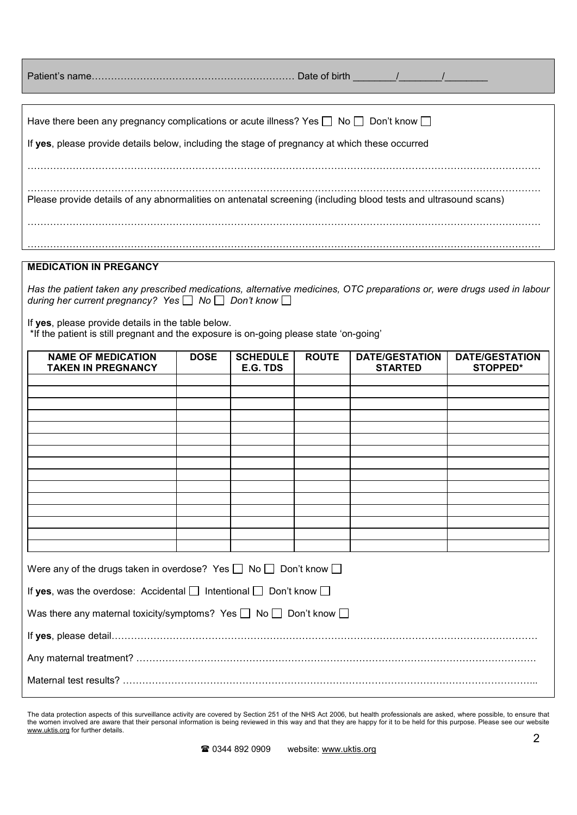| Have there been any pregnancy complications or acute illness? Yes $\Box$ No $\Box$ Don't know $\Box$            |
|-----------------------------------------------------------------------------------------------------------------|
| If yes, please provide details below, including the stage of pregnancy at which these occurred                  |
|                                                                                                                 |
|                                                                                                                 |
|                                                                                                                 |
| Please provide details of any abnormalities on antenatal screening (including blood tests and ultrasound scans) |
|                                                                                                                 |
|                                                                                                                 |
|                                                                                                                 |
| <b>MEDICATION IN PREGANCY</b>                                                                                   |

*Has the patient taken any prescribed medications, alternative medicines, OTC preparations or, were drugs used in labour during her current pregnancy?* Yes □ No □ Don't know □

If yes, please provide details in the table below. \*If the patient is still pregnant and the exposure is on-going please state 'on-going'

| <b>NAME OF MEDICATION</b><br><b>TAKEN IN PREGNANCY</b>                           | <b>DOSE</b> | <b>SCHEDULE</b><br>E.G. TDS | <b>ROUTE</b> | <b>DATE/GESTATION</b><br><b>STARTED</b> | <b>DATE/GESTATION</b><br><b>STOPPED*</b> |
|----------------------------------------------------------------------------------|-------------|-----------------------------|--------------|-----------------------------------------|------------------------------------------|
|                                                                                  |             |                             |              |                                         |                                          |
|                                                                                  |             |                             |              |                                         |                                          |
|                                                                                  |             |                             |              |                                         |                                          |
|                                                                                  |             |                             |              |                                         |                                          |
|                                                                                  |             |                             |              |                                         |                                          |
|                                                                                  |             |                             |              |                                         |                                          |
|                                                                                  |             |                             |              |                                         |                                          |
|                                                                                  |             |                             |              |                                         |                                          |
|                                                                                  |             |                             |              |                                         |                                          |
|                                                                                  |             |                             |              |                                         |                                          |
| Were any of the drugs taken in overdose? Yes $\Box$ No $\Box$ Don't know $\Box$  |             |                             |              |                                         |                                          |
| If yes, was the overdose: Accidental $\Box$ Intentional $\Box$ Don't know $\Box$ |             |                             |              |                                         |                                          |
| Was there any maternal toxicity/symptoms? Yes $\Box$ No $\Box$ Don't know $\Box$ |             |                             |              |                                         |                                          |
|                                                                                  |             |                             |              |                                         |                                          |
|                                                                                  |             |                             |              |                                         |                                          |
|                                                                                  |             |                             |              |                                         |                                          |

The data protection aspects of this surveillance activity are covered by Section 251 of the NHS Act 2006, but health professionals are asked, where possible, to ensure that the women involved are aware that their personal information is being reviewed in this way and that they are happy for it to be held for this purpose. Please see our website www.uktis.org for further details.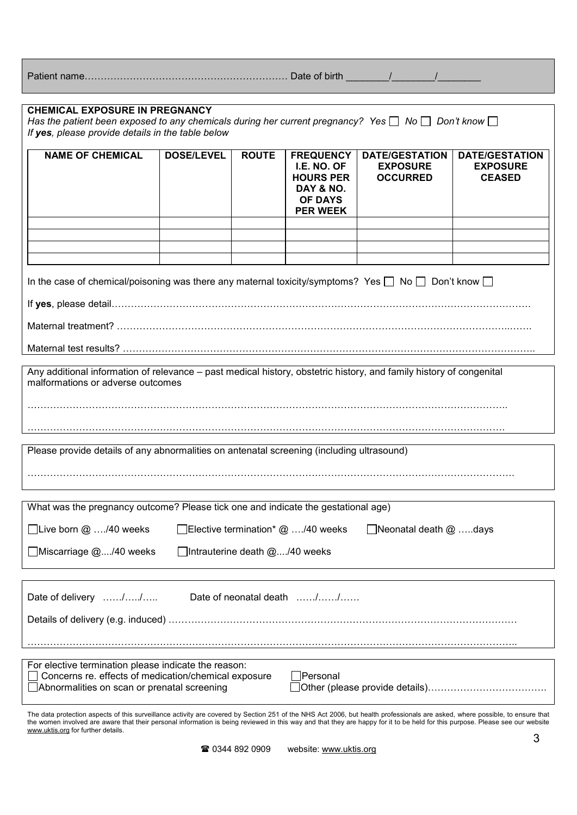Patient name……………………………………………………… Date of birth \_\_\_\_\_\_\_\_/\_\_\_\_\_\_\_\_/\_\_\_\_\_\_\_\_

| <b>CHEMICAL EXPOSURE IN PREGNANCY</b><br>Has the patient been exposed to any chemicals during her current pregnancy? Yes $\Box$ No $\Box$ Don't know $\Box$<br>If yes, please provide details in the table below |                   |                               |                                                                                                       |                                                             |                                                           |
|------------------------------------------------------------------------------------------------------------------------------------------------------------------------------------------------------------------|-------------------|-------------------------------|-------------------------------------------------------------------------------------------------------|-------------------------------------------------------------|-----------------------------------------------------------|
| <b>NAME OF CHEMICAL</b>                                                                                                                                                                                          | <b>DOSE/LEVEL</b> | <b>ROUTE</b>                  | <b>FREQUENCY</b><br>I.E. NO. OF<br><b>HOURS PER</b><br>DAY & NO.<br><b>OF DAYS</b><br><b>PER WEEK</b> | <b>DATE/GESTATION</b><br><b>EXPOSURE</b><br><b>OCCURRED</b> | <b>DATE/GESTATION</b><br><b>EXPOSURE</b><br><b>CEASED</b> |
|                                                                                                                                                                                                                  |                   |                               |                                                                                                       |                                                             |                                                           |
| In the case of chemical/poisoning was there any maternal toxicity/symptoms? Yes $\Box$ No $\Box$ Don't know $\Box$                                                                                               |                   |                               |                                                                                                       |                                                             |                                                           |
|                                                                                                                                                                                                                  |                   |                               |                                                                                                       |                                                             |                                                           |
|                                                                                                                                                                                                                  |                   |                               |                                                                                                       |                                                             |                                                           |
| Any additional information of relevance – past medical history, obstetric history, and family history of congenital<br>malformations or adverse outcomes                                                         |                   |                               |                                                                                                       |                                                             |                                                           |
|                                                                                                                                                                                                                  |                   |                               |                                                                                                       |                                                             |                                                           |
| Please provide details of any abnormalities on antenatal screening (including ultrasound)                                                                                                                        |                   |                               |                                                                                                       |                                                             |                                                           |
|                                                                                                                                                                                                                  |                   |                               |                                                                                                       |                                                             |                                                           |
| What was the pregnancy outcome? Please tick one and indicate the gestational age)                                                                                                                                |                   |                               |                                                                                                       |                                                             |                                                           |
| □Live born @ /40 weeks<br>□Elective termination* @ /40 weeks<br>Neonatal death $@$ days                                                                                                                          |                   |                               |                                                                                                       |                                                             |                                                           |
| □ Miscarriage @/40 weeks                                                                                                                                                                                         |                   | Intrauterine death @/40 weeks |                                                                                                       |                                                             |                                                           |
|                                                                                                                                                                                                                  |                   |                               |                                                                                                       |                                                             |                                                           |
| Date of delivery //                                                                                                                                                                                              |                   |                               | Date of neonatal death //                                                                             |                                                             |                                                           |
|                                                                                                                                                                                                                  |                   |                               |                                                                                                       |                                                             |                                                           |
|                                                                                                                                                                                                                  |                   |                               |                                                                                                       |                                                             |                                                           |
| For elective termination please indicate the reason:<br>Concerns re. effects of medication/chemical exposure<br>Abnormalities on scan or prenatal screening                                                      |                   |                               | Personal                                                                                              |                                                             |                                                           |
|                                                                                                                                                                                                                  |                   |                               |                                                                                                       |                                                             |                                                           |

The data protection aspects of this surveillance activity are covered by Section 251 of the NHS Act 2006, but health professionals are asked, where possible, to ensure that the women involved are aware that their personal information is being reviewed in this way and that they are happy for it to be held for this purpose. Please see our website www.uktis.org for further details.